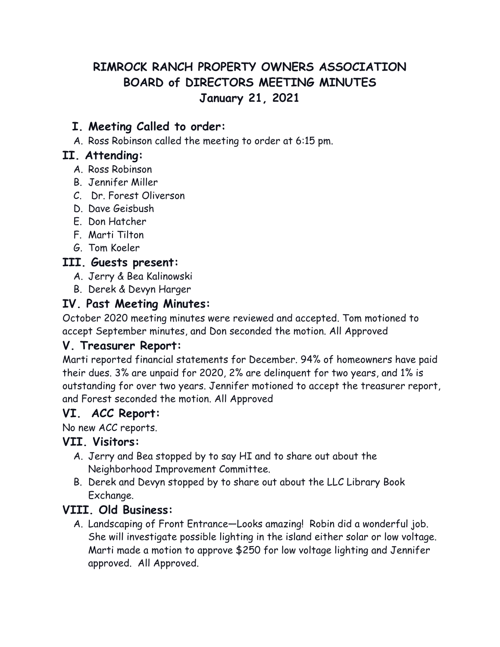# **RIMROCK RANCH PROPERTY OWNERS ASSOCIATION BOARD of DIRECTORS MEETING MINUTES January 21, 2021**

## **I. Meeting Called to order:**

A. Ross Robinson called the meeting to order at 6:15 pm.

#### **II. Attending:**

- A. Ross Robinson
- B. Jennifer Miller
- C. Dr. Forest Oliverson
- D. Dave Geisbush
- E. Don Hatcher
- F. Marti Tilton
- G. Tom Koeler

#### **III. Guests present:**

- A. Jerry & Bea Kalinowski
- B. Derek & Devyn Harger

## **IV. Past Meeting Minutes:**

October 2020 meeting minutes were reviewed and accepted. Tom motioned to accept September minutes, and Don seconded the motion. All Approved

#### **V. Treasurer Report:**

Marti reported financial statements for December. 94% of homeowners have paid their dues. 3% are unpaid for 2020, 2% are delinquent for two years, and 1% is outstanding for over two years. Jennifer motioned to accept the treasurer report, and Forest seconded the motion. All Approved

#### **VI. ACC Report:**

No new ACC reports.

#### **VII. Visitors:**

- A. Jerry and Bea stopped by to say HI and to share out about the Neighborhood Improvement Committee.
- B. Derek and Devyn stopped by to share out about the LLC Library Book Exchange.

## **VIII. Old Business:**

A. Landscaping of Front Entrance—Looks amazing! Robin did a wonderful job. She will investigate possible lighting in the island either solar or low voltage. Marti made a motion to approve \$250 for low voltage lighting and Jennifer approved. All Approved.